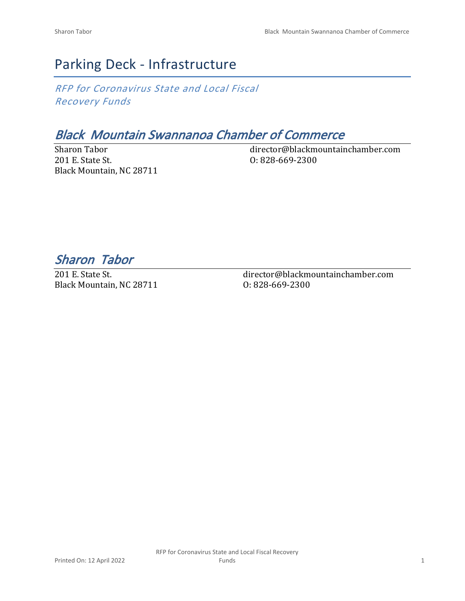# Parking Deck - Infrastructure

*RFP for Coronavirus State and Local Fiscal Recovery Funds*

# *Black Mountain Swannanoa Chamber of Commerce*

Sharon Tabor 201 E. State St. Black Mountain, NC 28711 director@blackmountainchamber.com O: 828-669-2300

*Sharon Tabor* 

201 E. State St. Black Mountain, NC 28711 director@blackmountainchamber.com O: 828-669-2300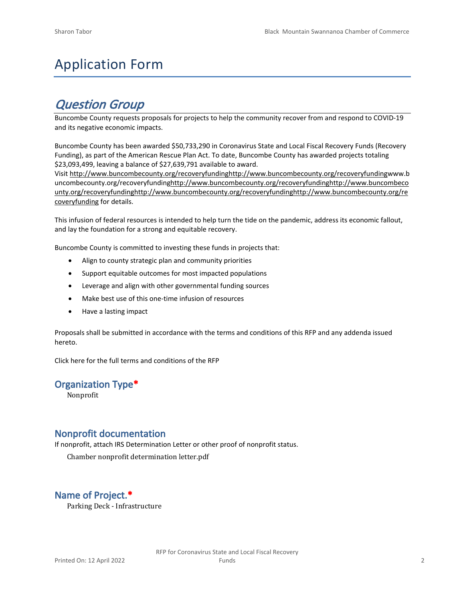# Application Form

# *Question Group*

Buncombe County requests proposals for projects to help the community recover from and respond to COVID-19 and its negative economic impacts.

Buncombe County has been awarded \$50,733,290 in Coronavirus State and Local Fiscal Recovery Funds (Recovery Funding), as part of the American Rescue Plan Act. To date, Buncombe County has awarded projects totaling \$23,093,499, leaving a balance of \$27,639,791 available to award.

Visit [http://www.buncombecounty.org/recoveryfundinghttp://www.buncombecounty.org/recoveryfundingwww.b](http://www.buncombecounty.org/recoveryfunding) [uncombecounty.org/recoveryfundinghttp://www.buncombecounty.org/recoveryfundinghttp://www.buncombeco](http://www.buncombecounty.org/recoveryfunding) [unty.org/recoveryfundinghttp://www.buncombecounty.org/recoveryfundinghttp://www.buncombecounty.org/re](http://www.buncombecounty.org/recoveryfunding) [coveryfunding](http://www.buncombecounty.org/recoveryfunding) for details.

This infusion of federal resources is intended to help turn the tide on the pandemic, address its economic fallout, and lay the foundation for a strong and equitable recovery.

Buncombe County is committed to investing these funds in projects that:

- Align to county strategic plan and community priorities
- Support equitable outcomes for most impacted populations
- Leverage and align with other governmental funding sources
- Make best use of this one-time infusion of resources
- Have a lasting impact

Proposals shall be submitted in accordance with the terms and conditions of this RFP and any addenda issued hereto.

Click [here](https://www.buncombecounty.org/common/purchasing/Buncombe%20Recovery%20Funding%20RFP%202022.pdf) for the full terms and conditions of the RFP

#### **Organization Type\***

Nonprofit

#### **Nonprofit documentation**

If nonprofit, attach IRS Determination Letter or other proof of nonprofit status.

Chamber nonprofit determination letter.pdf

# **Name of Project.\***

Parking Deck - Infrastructure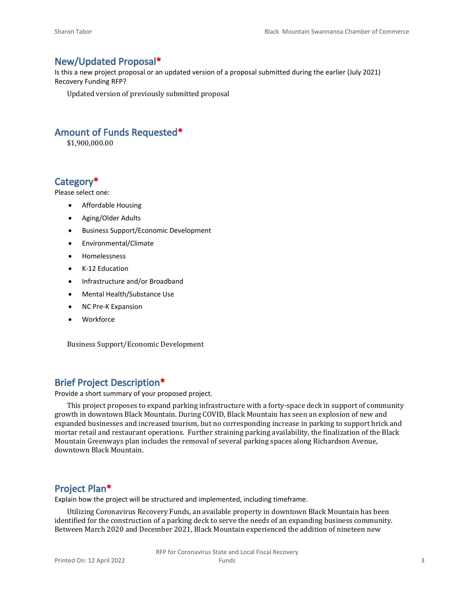#### **New/Updated Proposal\***

Is this a new project proposal or an updated version of a proposal submitted during the earlier (July 2021) Recovery Funding RFP?

Updated version of previously submitted proposal

## **Amount of Funds Requested\***

\$1,900,000.00

## **Category\***

Please select one:

- Affordable Housing
- Aging/Older Adults
- Business Support/Economic Development
- Environmental/Climate
- Homelessness
- K-12 Education
- Infrastructure and/or Broadband
- Mental Health/Substance Use
- NC Pre-K Expansion
- Workforce

Business Support/Economic Development

## **Brief Project Description\***

Provide a short summary of your proposed project.

This project proposes to expand parking infrastructure with a forty-space deck in support of community growth in downtown Black Mountain. During COVID, Black Mountain has seen an explosion of new and expanded businesses and increased tourism, but no corresponding increase in parking to support brick and mortar retail and restaurant operations. Further straining parking availability, the finalization of the Black Mountain Greenways plan includes the removal of several parking spaces along Richardson Avenue, downtown Black Mountain.

#### **Project Plan\***

Explain how the project will be structured and implemented, including timeframe.

Utilizing Coronavirus Recovery Funds, an available property in downtown Black Mountain has been identified for the construction of a parking deck to serve the needs of an expanding business community. Between March 2020 and December 2021, Black Mountain experienced the addition of nineteen new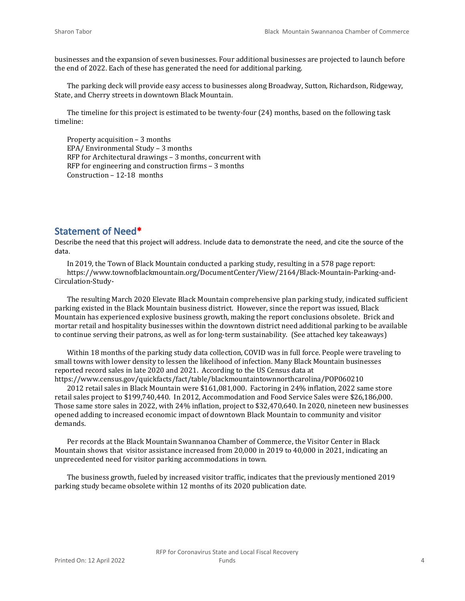businesses and the expansion of seven businesses. Four additional businesses are projected to launch before the end of 2022. Each of these has generated the need for additional parking.

The parking deck will provide easy access to businesses along Broadway, Sutton, Richardson, Ridgeway, State, and Cherry streets in downtown Black Mountain.

The timeline for this project is estimated to be twenty-four (24) months, based on the following task timeline:

Property acquisition – 3 months EPA/ Environmental Study – 3 months RFP for Architectural drawings – 3 months, concurrent with RFP for engineering and construction firms – 3 months Construction – 12-18 months

#### **Statement of Need\***

Describe the need that this project will address. Include data to demonstrate the need, and cite the source of the data.

In 2019, the Town of Black Mountain conducted a parking study, resulting in a 578 page report: https://www.townofblackmountain.org/DocumentCenter/View/2164/Black-Mountain-Parking-and-Circulation-Study-

The resulting March 2020 Elevate Black Mountain comprehensive plan parking study, indicated sufficient parking existed in the Black Mountain business district. However, since the report was issued, Black Mountain has experienced explosive business growth, making the report conclusions obsolete. Brick and mortar retail and hospitality businesses within the downtown district need additional parking to be available to continue serving their patrons, as well as for long-term sustainability. (See attached key takeaways)

Within 18 months of the parking study data collection, COVID was in full force. People were traveling to small towns with lower density to lessen the likelihood of infection. Many Black Mountain businesses reported record sales in late 2020 and 2021. According to the US Census data at https://www.census.gov/quickfacts/fact/table/blackmountaintownnorthcarolina/POP060210

2012 retail sales in Black Mountain were \$161,081,000. Factoring in 24% inflation, 2022 same store retail sales project to \$199,740,440. In 2012, Accommodation and Food Service Sales were \$26,186,000. Those same store sales in 2022, with 24% inflation, project to \$32,470,640. In 2020, nineteen new businesses opened adding to increased economic impact of downtown Black Mountain to community and visitor demands.

Per records at the Black Mountain Swannanoa Chamber of Commerce, the Visitor Center in Black Mountain shows that visitor assistance increased from 20,000 in 2019 to 40,000 in 2021, indicating an unprecedented need for visitor parking accommodations in town.

The business growth, fueled by increased visitor traffic, indicates that the previously mentioned 2019 parking study became obsolete within 12 months of its 2020 publication date.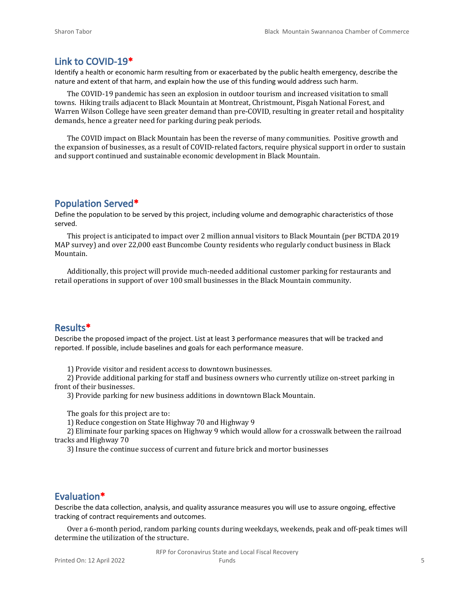#### **Link to COVID-19\***

Identify a health or economic harm resulting from or exacerbated by the public health emergency, describe the nature and extent of that harm, and explain how the use of this funding would address such harm.

The COVID-19 pandemic has seen an explosion in outdoor tourism and increased visitation to small towns. Hiking trails adjacent to Black Mountain at Montreat, Christmount, Pisgah National Forest, and Warren Wilson College have seen greater demand than pre-COVID, resulting in greater retail and hospitality demands, hence a greater need for parking during peak periods.

The COVID impact on Black Mountain has been the reverse of many communities. Positive growth and the expansion of businesses, as a result of COVID-related factors, require physical support in order to sustain and support continued and sustainable economic development in Black Mountain.

#### **Population Served\***

Define the population to be served by this project, including volume and demographic characteristics of those served.

This project is anticipated to impact over 2 million annual visitors to Black Mountain (per BCTDA 2019 MAP survey) and over 22,000 east Buncombe County residents who regularly conduct business in Black Mountain.

Additionally, this project will provide much-needed additional customer parking for restaurants and retail operations in support of over 100 small businesses in the Black Mountain community.

#### **Results\***

Describe the proposed impact of the project. List at least 3 performance measures that will be tracked and reported. If possible, include baselines and goals for each performance measure.

1) Provide visitor and resident access to downtown businesses.

2) Provide additional parking for staff and business owners who currently utilize on-street parking in front of their businesses.

3) Provide parking for new business additions in downtown Black Mountain.

The goals for this project are to:

1) Reduce congestion on State Highway 70 and Highway 9

2) Eliminate four parking spaces on Highway 9 which would allow for a crosswalk between the railroad tracks and Highway 70

3) Insure the continue success of current and future brick and mortor businesses

#### **Evaluation\***

Describe the data collection, analysis, and quality assurance measures you will use to assure ongoing, effective tracking of contract requirements and outcomes.

Over a 6-month period, random parking counts during weekdays, weekends, peak and off-peak times will determine the utilization of the structure.

RFP for Coronavirus State and Local Fiscal Recovery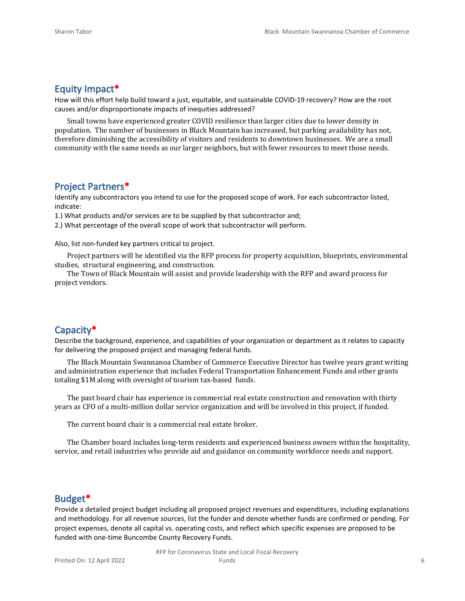#### **Equity Impact\***

How will this effort help build toward a just, equitable, and sustainable COVID-19 recovery? How are the root causes and/or disproportionate impacts of inequities addressed?

Small towns have experienced greater COVID resilience than larger cities due to lower density in population. The number of businesses in Black Mountain has increased, but parking availability has not, therefore diminishing the accessibility of visitors and residents to downtown businesses. We are a small community with the same needs as our larger neighbors, but with fewer resources to meet those needs.

#### **Project Partners\***

Identify any subcontractors you intend to use for the proposed scope of work. For each subcontractor listed, indicate:

1.) What products and/or services are to be supplied by that subcontractor and;

2.) What percentage of the overall scope of work that subcontractor will perform.

Also, list non-funded key partners critical to project.

Project partners will be identified via the RFP process for property acquisition, blueprints, environmental studies, structural engineering, and construction.

The Town of Black Mountain will assist and provide leadership with the RFP and award process for project vendors.

#### **Capacity\***

Describe the background, experience, and capabilities of your organization or department as it relates to capacity for delivering the proposed project and managing federal funds.

The Black Mountain Swannanoa Chamber of Commerce Executive Director has twelve years grant writing and administration experience that includes Federal Transportation Enhancement Funds and other grants totaling \$1M along with oversight of tourism tax-based funds.

The past board chair has experience in commercial real estate construction and renovation with thirty years as CFO of a multi-million dollar service organization and will be involved in this project, if funded.

The current board chair is a commercial real estate broker.

The Chamber board includes long-term residents and experienced business owners within the hospitality, service, and retail industries who provide aid and guidance on community workforce needs and support.

#### **Budget\***

Provide a detailed project budget including all proposed project revenues and expenditures, including explanations and methodology. For all revenue sources, list the funder and denote whether funds are confirmed or pending. For project expenses, denote all capital vs. operating costs, and reflect which specific expenses are proposed to be funded with one-time Buncombe County Recovery Funds.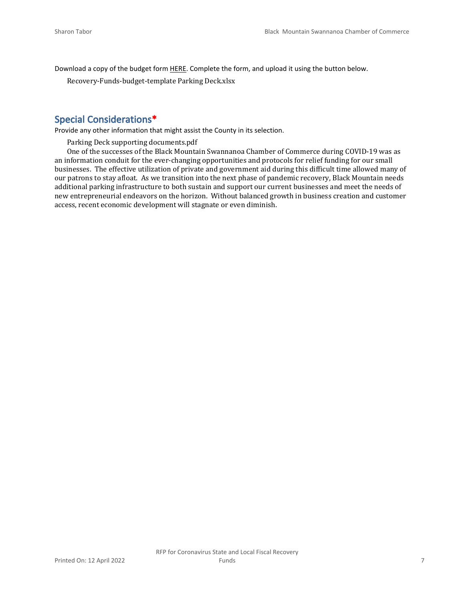Download a copy of the budget form [HERE](https://buncombecounty.org/common/community-investment/grants/early-childhood-education/Recovery-Funds-budget-template.xlsx). Complete the form, and upload it using the button below.

Recovery-Funds-budget-template Parking Deck.xlsx

## **Special Considerations\***

Provide any other information that might assist the County in its selection.

Parking Deck supporting documents.pdf

One of the successes of the Black Mountain Swannanoa Chamber of Commerce during COVID-19 was as an information conduit for the ever-changing opportunities and protocols for relief funding for our small businesses. The effective utilization of private and government aid during this difficult time allowed many of our patrons to stay afloat. As we transition into the next phase of pandemic recovery, Black Mountain needs additional parking infrastructure to both sustain and support our current businesses and meet the needs of new entrepreneurial endeavors on the horizon. Without balanced growth in business creation and customer access, recent economic development will stagnate or even diminish.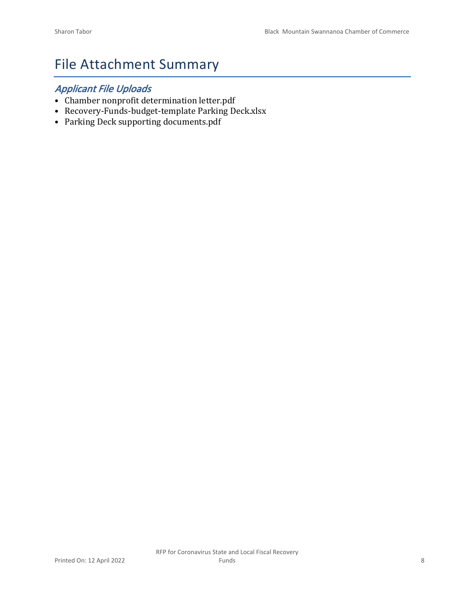# File Attachment Summary

# *Applicant File Uploads*

- Chamber nonprofit determination letter.pdf
- Recovery-Funds-budget-template Parking Deck.xlsx
- Parking Deck supporting documents.pdf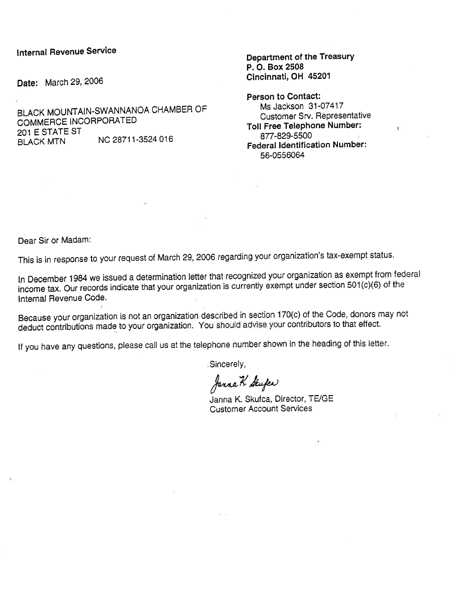#### **Internal Revenue Service**

Date: March 29, 2006

BLACK MOUNTAIN-SWANNANOA CHAMBER OF COMMERCE INCORPORATED 201 E STATE ST NC 28711-3524 016 **BLACK MTN** 

Department of the Treasury P. O. Box 2508 Cincinnati. OH 45201

Person to Contact: Ms Jackson 31-07417 Customer Srv. Representative Toll Free Telephone Number: 877-829-5500 **Federal Identification Number:** 56-0556064

Dear Sir or Madam:

This is in response to your request of March 29, 2006 regarding your organization's tax-exempt status.

In December 1984 we issued a determination letter that recognized your organization as exempt from federal income tax. Our records indicate that your organization is currently exempt under section 501(c)(6) of the Internal Revenue Code.

Because your organization is not an organization described in section 170(c) of the Code, donors may not deduct contributions made to your organization. You should advise your contributors to that effect.

If you have any questions, please call us at the telephone number shown in the heading of this letter.

Sincerely,

Janna K. Stufer

Janna K. Skufca, Director, TE/GE **Customer Account Services**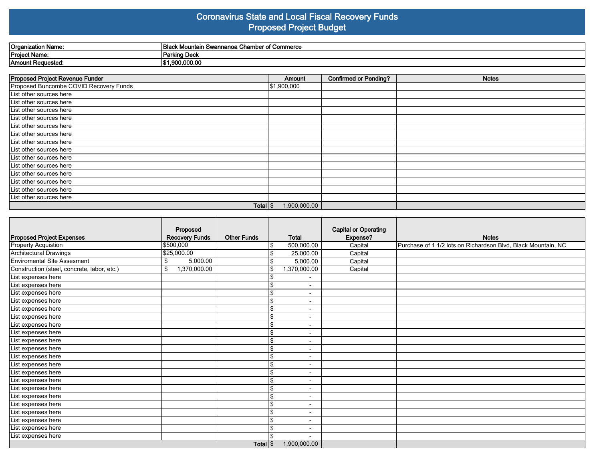#### **Coronavirus State and Local Fiscal Recovery Funds Proposed Project Budget**

| ≀Organization Name: | $\sim$<br>- -<br>Blad<br>amber of Commerce<br>. .<br>. Mountain Swannanoa ⊆<br>. Ghar |
|---------------------|---------------------------------------------------------------------------------------|
| Project Name:       | Parking Deck                                                                          |
| 'Amount Requested.  | .900.000.00                                                                           |

| <b>Proposed Project Revenue Funder</b> | Amount       | <b>Confirmed or Pending?</b> | <b>Notes</b> |
|----------------------------------------|--------------|------------------------------|--------------|
| Proposed Buncombe COVID Recovery Funds | \$1,900,000  |                              |              |
| List other sources here                |              |                              |              |
| List other sources here                |              |                              |              |
| List other sources here                |              |                              |              |
| List other sources here                |              |                              |              |
| List other sources here                |              |                              |              |
| List other sources here                |              |                              |              |
| List other sources here                |              |                              |              |
| List other sources here                |              |                              |              |
| List other sources here                |              |                              |              |
| List other sources here                |              |                              |              |
| List other sources here                |              |                              |              |
| List other sources here                |              |                              |              |
| List other sources here                |              |                              |              |
| List other sources here                |              |                              |              |
| Total $\frac{1}{3}$                    | 1,900,000.00 |                              |              |

|                                             | Proposed              |                    |                                | <b>Capital or Operating</b> |                                                               |
|---------------------------------------------|-----------------------|--------------------|--------------------------------|-----------------------------|---------------------------------------------------------------|
| <b>Proposed Project Expenses</b>            | <b>Recovery Funds</b> | <b>Other Funds</b> | <b>Total</b>                   | Expense?                    | <b>Notes</b>                                                  |
| <b>Property Acquistion</b>                  | 5500,000              |                    | 500,000.00<br>\$               | Capital                     | Purchase of 1 1/2 lots on Richardson Blvd, Black Mountain, NC |
| <b>Architectural Drawings</b>               | \$25,000.00           |                    | \$<br>25.000.00                | Capital                     |                                                               |
| <b>Enviromental Site Assesment</b>          | 5,000.00<br>\$        |                    | 5,000.00<br>\$                 | Capital                     |                                                               |
| Construction (steel, concrete, labor, etc.) | 1,370,000.00<br>\$    |                    | \$<br>1,370,000.00             | Capital                     |                                                               |
| List expenses here                          |                       |                    | $\blacksquare$                 |                             |                                                               |
| List expenses here                          |                       |                    | \$<br>$\overline{\phantom{a}}$ |                             |                                                               |
| List expenses here                          |                       |                    | \$<br>$\overline{\phantom{a}}$ |                             |                                                               |
| List expenses here                          |                       |                    | \$<br>$\overline{\phantom{a}}$ |                             |                                                               |
| List expenses here                          |                       |                    | \$<br>$\overline{\phantom{0}}$ |                             |                                                               |
| List expenses here                          |                       |                    | \$<br>$\overline{\phantom{a}}$ |                             |                                                               |
| List expenses here                          |                       |                    | \$<br>$\overline{\phantom{0}}$ |                             |                                                               |
| List expenses here                          |                       |                    | \$<br>$\overline{\phantom{a}}$ |                             |                                                               |
| List expenses here                          |                       |                    | \$<br>$\overline{\phantom{a}}$ |                             |                                                               |
| List expenses here                          |                       |                    | \$<br>$\overline{\phantom{a}}$ |                             |                                                               |
| List expenses here                          |                       |                    | \$<br>$\blacksquare$           |                             |                                                               |
| List expenses here                          |                       |                    | \$<br>$\overline{\phantom{a}}$ |                             |                                                               |
| List expenses here                          |                       |                    | \$<br>$\blacksquare$           |                             |                                                               |
| List expenses here                          |                       |                    | \$<br>$\overline{\phantom{a}}$ |                             |                                                               |
| List expenses here                          |                       |                    | \$<br>$\overline{\phantom{a}}$ |                             |                                                               |
| List expenses here                          |                       |                    | \$<br>$\overline{\phantom{a}}$ |                             |                                                               |
| List expenses here                          |                       |                    | \$<br>$\blacksquare$           |                             |                                                               |
| List expenses here                          |                       |                    | \$<br>$\overline{\phantom{0}}$ |                             |                                                               |
| List expenses here                          |                       |                    | \$<br>$\overline{\phantom{a}}$ |                             |                                                               |
| List expenses here                          |                       |                    | \$<br>$\overline{\phantom{a}}$ |                             |                                                               |
| List expenses here                          |                       |                    | \$                             |                             |                                                               |
|                                             |                       | Total <sup>S</sup> |                                |                             |                                                               |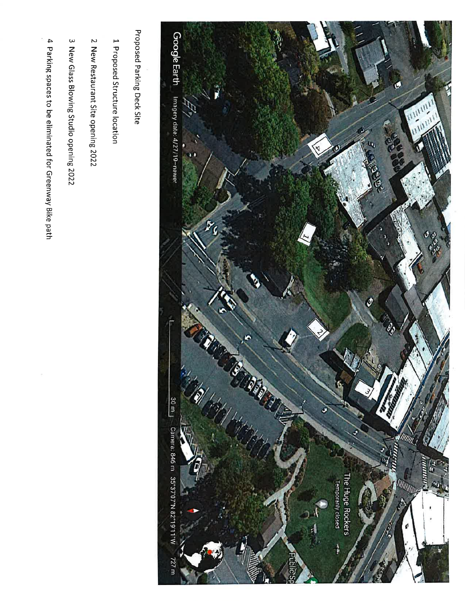

Proposed Parking Deck Site

1 Proposed Structure location

2 New Restaurant Site opening 2022

3 New Glass Blowing Studio opening 2022

4 Parking spaces to be eliminated for Greenway Bike path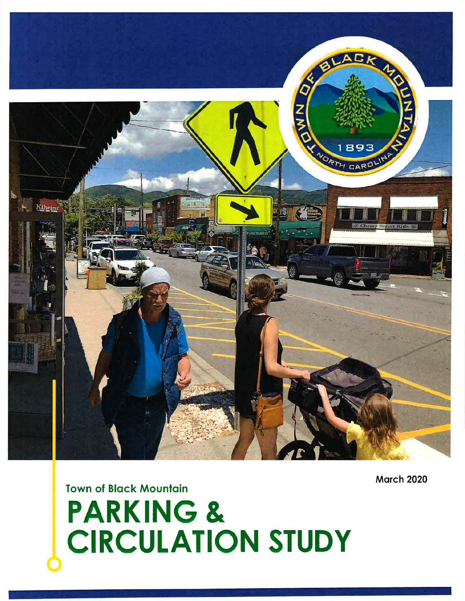

**March 2020** 

# **Town of Black Mountain PARKING & CIRCULATION STUDY**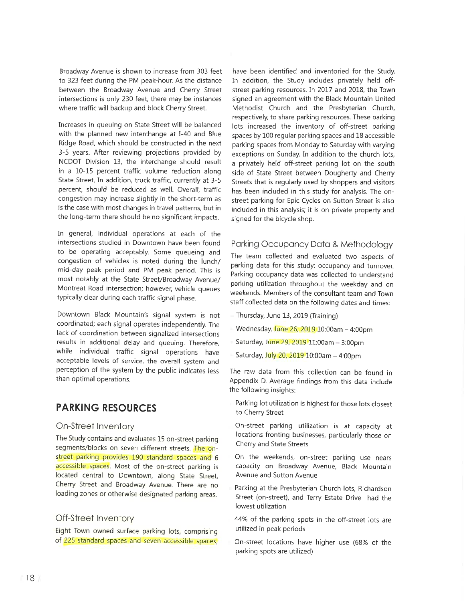Broadway Avenue is shown to increase from 303 feet to 323 feet during the PM peak-hour. As the distance between the Broadway Avenue and Cherry Street intersections is only 230 feet, there may be instances where traffic will backup and block Cherry Street.

Increases in queuing on State Street will be balanced with the planned new interchange at I-40 and Blue Ridge Road, which should be constructed in the next 3-5 years. After reviewing projections provided by NCDOT Division 13, the interchange should result in a 10-15 percent traffic volume reduction along State Street. In addition, truck traffic, currently at 3-5 percent, should be reduced as well. Overall, traffic congestion may increase slightly in the short-term as is the case with most changes in travel patterns, but in the long-term there should be no significant impacts.

In general, individual operations at each of the intersections studied in Downtown have been found to be operating acceptably. Some queueing and congestion of vehicles is noted during the lunch/ mid-day peak period and PM peak period. This is most notably at the State Street/Broadway Avenue/ Montreat Road intersection; however, vehicle queues typically clear during each traffic signal phase.

Downtown Black Mountain's signal system is not coordinated; each signal operates independently. The lack of coordination between signalized intersections results in additional delay and queuing. Therefore, while individual traffic signal operations have acceptable levels of service, the overall system and perception of the system by the public indicates less than optimal operations.

## **PARKING RESOURCES**

#### On-Street Inventory

The Study contains and evaluates 15 on-street parking segments/blocks on seven different streets. The onstreet parking provides 190 standard spaces and 6 accessible spaces. Most of the on-street parking is located central to Downtown, along State Street, Cherry Street and Broadway Avenue. There are no loading zones or otherwise designated parking areas.

#### Off-Street Inventory

Eight Town owned surface parking lots, comprising of 225 standard spaces and seven accessible spaces,

have been identified and inventoried for the Study. In addition, the Study includes privately held offstreet parking resources. In 2017 and 2018, the Town signed an agreement with the Black Mountain United Methodist Church and the Presbyterian Church, respectively, to share parking resources. These parking lots increased the inventory of off-street parking spaces by 100 regular parking spaces and 18 accessible parking spaces from Monday to Saturday with varying exceptions on Sunday. In addition to the church lots, a privately held off-street parking lot on the south side of State Street between Dougherty and Cherry Streets that is regularly used by shoppers and visitors has been included in this study for analysis. The onstreet parking for Epic Cycles on Sutton Street is also included in this analysis; it is on private property and signed for the bicycle shop.

#### Parking Occupancy Data & Methodology

The team collected and evaluated two aspects of parking data for this study: occupancy and turnover. Parking occupancy data was collected to understand parking utilization throughout the weekday and on weekends. Members of the consultant team and Town staff collected data on the following dates and times:

- Thursday, June 13, 2019 (Training)
- Wednesday, June 26, 2019 10:00am 4:00pm
- Saturday, June 29, 2019 11:00am 3:00pm
- Saturday, July 20, 2019 10:00am 4:00pm

The raw data from this collection can be found in Appendix D. Average findings from this data include the following insights:

Parking lot utilization is highest for those lots closest to Cherry Street

On-street parking utilization is at capacity at locations fronting businesses, particularly those on Cherry and State Streets

On the weekends, on-street parking use nears capacity on Broadway Avenue, Black Mountain Avenue and Sutton Avenue

Parking at the Presbyterian Church lots, Richardson Street (on-street), and Terry Estate Drive had the lowest utilization

44% of the parking spots in the off-street lots are utilized in peak periods

On-street locations have higher use (68% of the parking spots are utilized)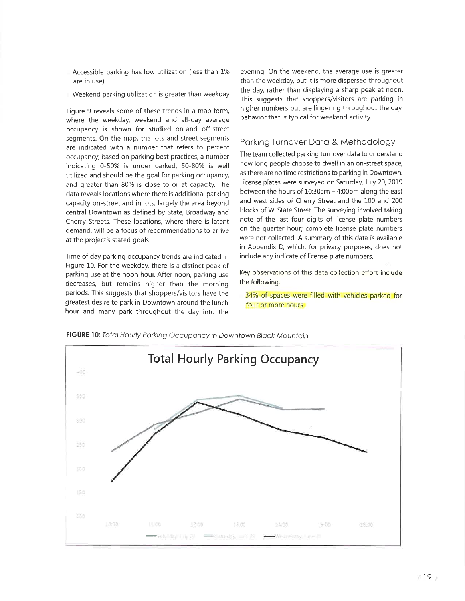- Accessible parking has low utilization (less than 1% are in use)
- Weekend parking utilization is greater than weekday

Figure 9 reveals some of these trends in a map form, where the weekday, weekend and all-day average occupancy is shown for studied on-and off-street segments. On the map, the lots and street segments are indicated with a number that refers to percent occupancy; based on parking best practices, a number indicating 0-50% is under parked, 50-80% is well utilized and should be the goal for parking occupancy, and greater than 80% is close to or at capacity. The data reveals locations where there is additional parking capacity on-street and in lots, largely the area beyond central Downtown as defined by State, Broadway and Cherry Streets. These locations, where there is latent demand, will be a focus of recommendations to arrive at the project's stated goals.

Time of day parking occupancy trends are indicated in Figure 10. For the weekday, there is a distinct peak of parking use at the noon hour. After noon, parking use decreases, but remains higher than the morning periods. This suggests that shoppers/visitors have the greatest desire to park in Downtown around the lunch hour and many park throughout the day into the evening. On the weekend, the average use is greater than the weekday, but it is more dispersed throughout the day, rather than displaying a sharp peak at noon. This suggests that shoppers/visitors are parking in higher numbers but are lingering throughout the day, behavior that is typical for weekend activity.

#### Parking Turnover Data & Methodology

The team collected parking turnover data to understand how long people choose to dwell in an on-street space, as there are no time restrictions to parking in Downtown. License plates were surveyed on Saturday, July 20, 2019 between the hours of 10:30am - 4:00pm along the east and west sides of Cherry Street and the 100 and 200 blocks of W. State Street. The surveying involved taking note of the last four digits of license plate numbers on the quarter hour; complete license plate numbers were not collected. A summary of this data is available in Appendix D, which, for privacy purposes, does not include any indicate of license plate numbers.

Key observations of this data collection effort include the following:

34% of spaces were filled with vehicles parked for four or more hours



FIGURE 10: Total Hourly Parking Occupancy in Downtown Black Mountain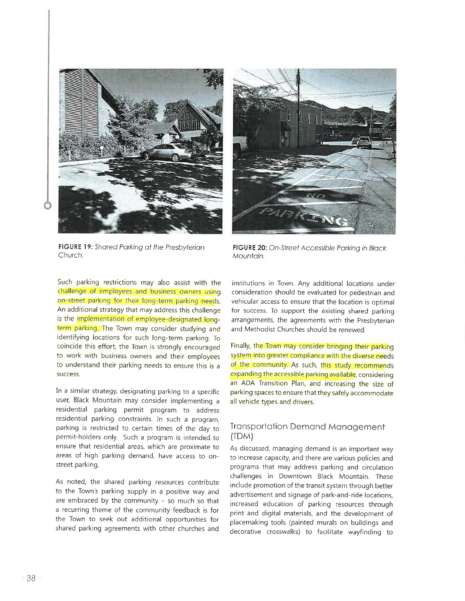

FIGURE 19: Shared Parking at the Presbyterian Church.



FIGURE 20: On-Street Accessible Parking in Black Mountain,

Such parking restrictions may also assist with the challenge of employees and business owners using on-street parking for their long-term parking needs. An additional strategy that may address this challenge is the implementation of employee-designated longterm parking. The Town may consider studying and identifying locations for such long-term parking. To coincide this effort, the Town is strongly encouraged to work with business owners and their employees to understand their parking needs to ensure this is a success.

In a similar strategy, designating parking to a specific user, Black Mountain may consider implementing a residential parking permit program to address residential parking constraints. In such a program, parking is restricted to certain times of the day to permit-holders only. Such a program is intended to ensure that residential areas, which are proximate to areas of high parking demand, have access to onstreet parking.

As noted, the shared parking resources contribute to the Town's parking supply in a positive way and are embraced by the community  $-$  so much so that a recurring theme of the community feedback is for the Town to seek out additional opportunities for shared parking agreements with other churches and

institutions in Town. Any additional locations under consideration should be evaluated for pedestrian and vehicular access to ensure that the location is optimal for success. To support the existing shared parking arrangements, the agreements with the Presbyterian and Methodist Churches should be renewed.

Finally, the Town may consider bringing their parking system into greater compliance with the diverse needs of the community. As such, this study recommends expanding the accessible parking available, considering an ADA Transition Plan, and increasing the size of parking spaces to ensure that they safely accommodate all vehicle types and drivers.

#### **Transportation Demand Management** (TDM)

As discussed, managing demand is an important way to increase capacity, and there are various policies and programs that may address parking and circulation challenges in Downtown Black Mountain. These include promotion of the transit system through better advertisement and signage of park-and-ride locations, increased education of parking resources through print and digital materials, and the development of placemaking tools (painted murals on buildings and decorative crosswalks) to facilitate wayfinding to